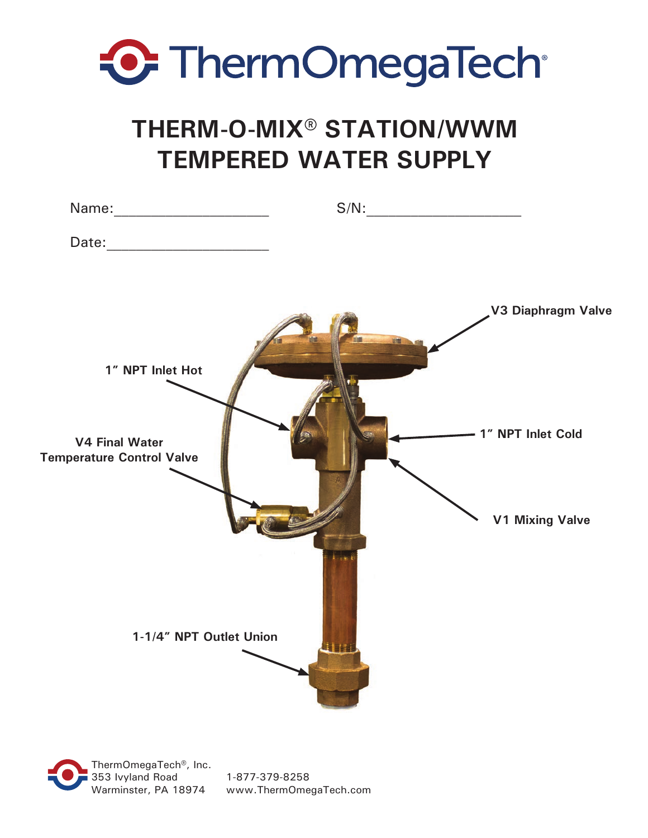

# **THERM-O-MIX® STATION/WWM TEMPERED WATER SUPPLY**

|                                                                               |              | $S/N: \begin{tabular}{ c c c } \hline \rule{0.3cm}{.03cm} & \rule{0.3cm}{.03cm} \rule{0.3cm}{.03cm} \rule{0.3cm}{.03cm} \end{tabular}$ |
|-------------------------------------------------------------------------------|--------------|----------------------------------------------------------------------------------------------------------------------------------------|
|                                                                               |              |                                                                                                                                        |
| 1" NPT Inlet Hot<br><b>V4 Final Water</b><br><b>Temperature Control Valve</b> |              | V3 Diaphragm Valve<br>-1" NPT Inlet Cold<br><b>V1 Mixing Valve</b>                                                                     |
| 1-1/4" NPT Outlet Union                                                       | <b>JUITE</b> |                                                                                                                                        |

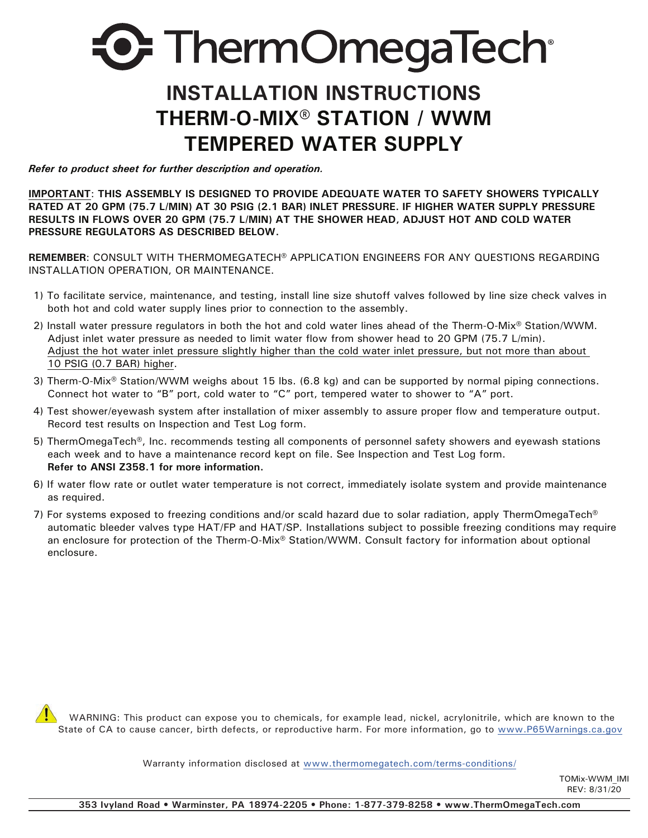# **D.** ThermOmegaTech®

# **INSTALLATION INSTRUCTIONS THERM-O-MIX® STATION / WWM TEMPERED WATER SUPPLY**

*Refer to product sheet for further description and operation.*

**IMPORTANT**: **THIS ASSEMBLY IS DESIGNED TO PROVIDE ADEQUATE WATER TO SAFETY SHOWERS TYPICALLY RATED AT 20 GPM (75.7 L/MIN) AT 30 PSIG (2.1 BAR) INLET PRESSURE. IF HIGHER WATER SUPPLY PRESSURE RESULTS IN FLOWS OVER 20 GPM (75.7 L/MIN) AT THE SHOWER HEAD, ADJUST HOT AND COLD WATER PRESSURE REGULATORS AS DESCRIBED BELOW.**

**REMEMBER**: CONSULT WITH THERMOMEGATECH**®** APPLICATION ENGINEERS FOR ANY QUESTIONS REGARDING INSTALLATION OPERATION, OR MAINTENANCE.

- 1) To facilitate service, maintenance, and testing, install line size shutoff valves followed by line size check valves in both hot and cold water supply lines prior to connection to the assembly.
- 2) Install water pressure regulators in both the hot and cold water lines ahead of the Therm-O-Mix® Station/WWM. Adjust inlet water pressure as needed to limit water flow from shower head to 20 GPM (75.7 L/min). Adjust the hot water inlet pressure slightly higher than the cold water inlet pressure, but not more than about 10 PSIG (0.7 BAR) higher.
- 3) Therm-O-Mix® Station/WWM weighs about 15 lbs. (6.8 kg) and can be supported by normal piping connections. Connect hot water to "B" port, cold water to "C" port, tempered water to shower to "A" port.
- 4) Test shower/eyewash system after installation of mixer assembly to assure proper flow and temperature output. Record test results on Inspection and Test Log form.
- 5) ThermOmegaTech®, Inc. recommends testing all components of personnel safety showers and eyewash stations each week and to have a maintenance record kept on file. See Inspection and Test Log form. **Refer to ANSI Z358.1 for more information.**
- 6) If water flow rate or outlet water temperature is not correct, immediately isolate system and provide maintenance as required.
- 7) For systems exposed to freezing conditions and/or scald hazard due to solar radiation, apply ThermOmegaTech<sup>®</sup> automatic bleeder valves type HAT/FP and HAT/SP. Installations subject to possible freezing conditions may require an enclosure for protection of the Therm-O-Mix® Station/WWM. Consult factory for information about optional enclosure.

 WARNING: This product can expose you to chemicals, for example lead, nickel, acrylonitrile, which are known to the State of CA to cause cancer, birth defects, or reproductive harm. For more information, go to www.P65Warnings.ca.gov

Warranty information disclosed at www.thermomegatech.com/terms-conditions/

TOMix-WWM\_IMI  $RFV: 8/31/\bar{20}$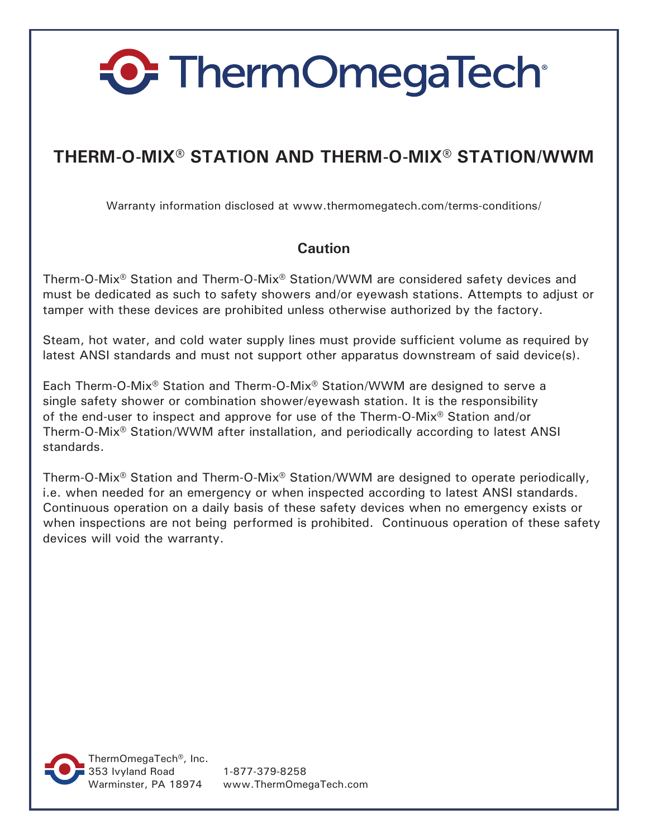## **THERM-O-MIX® STATION AND THERM-O-MIX® STATION/WWM**

Warranty information disclosed at www.thermomegatech.com/terms-conditions/

#### **Caution**

Therm-O-Mix® Station and Therm-O-Mix® Station/WWM are considered safety devices and must be dedicated as such to safety showers and/or eyewash stations. Attempts to adjust or tamper with these devices are prohibited unless otherwise authorized by the factory.

Steam, hot water, and cold water supply lines must provide sufficient volume as required by latest ANSI standards and must not support other apparatus downstream of said device(s).

Each Therm-O-Mix® Station and Therm-O-Mix® Station/WWM are designed to serve a single safety shower or combination shower/eyewash station. It is the responsibility of the end-user to inspect and approve for use of the Therm-O-Mix® Station and/or Therm-O-Mix® Station/WWM after installation, and periodically according to latest ANSI standards.

Therm-O-Mix® Station and Therm-O-Mix® Station/WWM are designed to operate periodically, i.e. when needed for an emergency or when inspected according to latest ANSI standards. Continuous operation on a daily basis of these safety devices when no emergency exists or when inspections are not being performed is prohibited. Continuous operation of these safety devices will void the warranty.



Warminster, PA 18974 www.ThermOmegaTech.com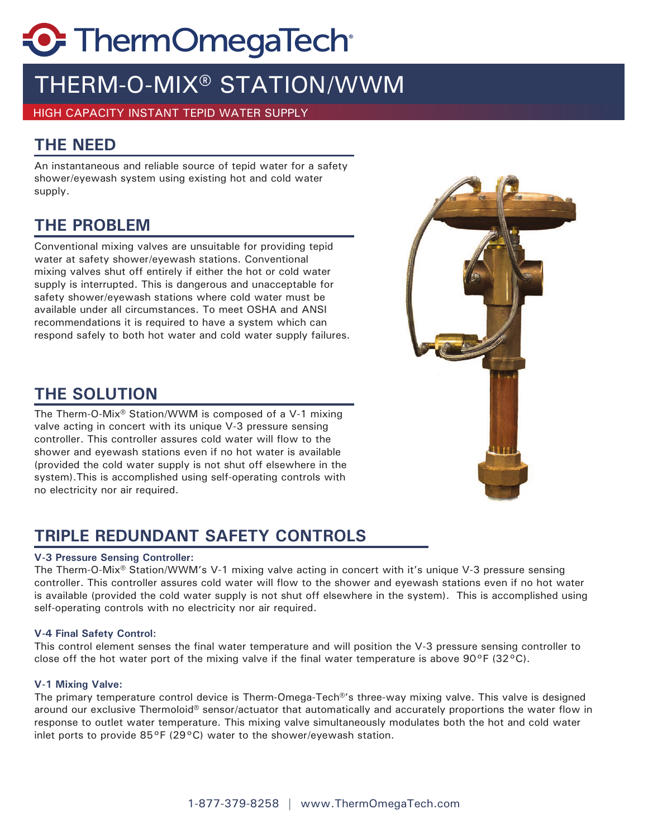# THERM-O-MIX® STATION/WWM

HIGH CAPACITY INSTANT TEPID WATER SUPPLY

## **THE NEED**

An instantaneous and reliable source of tepid water for a safety shower/eyewash system using existing hot and cold water supply.

### **THE PROBLEM**

Conventional mixing valves are unsuitable for providing tepid water at safety shower/eyewash stations. Conventional mixing valves shut off entirely if either the hot or cold water supply is interrupted. This is dangerous and unacceptable for safety shower/eyewash stations where cold water must be available under all circumstances. To meet OSHA and ANSI recommendations it is required to have a system which can respond safely to both hot water and cold water supply failures.

### **THE SOLUTION**

The Therm-O-Mix® Station/WWM is composed of a V-1 mixing valve acting in concert with its unique V-3 pressure sensing controller. This controller assures cold water will flow to the shower and eyewash stations even if no hot water is available (provided the cold water supply is not shut off elsewhere in the system).This is accomplished using self-operating controls with no electricity nor air required.

## **TRIPLE REDUNDANT SAFETY CONTROLS**

#### **V-3 Pressure Sensing Controller:**

The Therm-O-Mix® Station/WWM's V-1 mixing valve acting in concert with it's unique V-3 pressure sensing controller. This controller assures cold water will flow to the shower and eyewash stations even if no hot water is available (provided the cold water supply is not shut off elsewhere in the system). This is accomplished using self-operating controls with no electricity nor air required.

#### **V-4 Final Safety Control:**

This control element senses the final water temperature and will position the V-3 pressure sensing controller to close off the hot water port of the mixing valve if the final water temperature is above 90 $\degree$ F (32 $\degree$ C).

#### **V-1 Mixing Valve:**

The primary temperature control device is Therm-Omega-Tech®'s three-way mixing valve. This valve is designed around our exclusive Thermoloid® sensor/actuator that automatically and accurately proportions the water flow in response to outlet water temperature. This mixing valve simultaneously modulates both the hot and cold water inlet ports to provide 85°F (29°C) water to the shower/eyewash station.

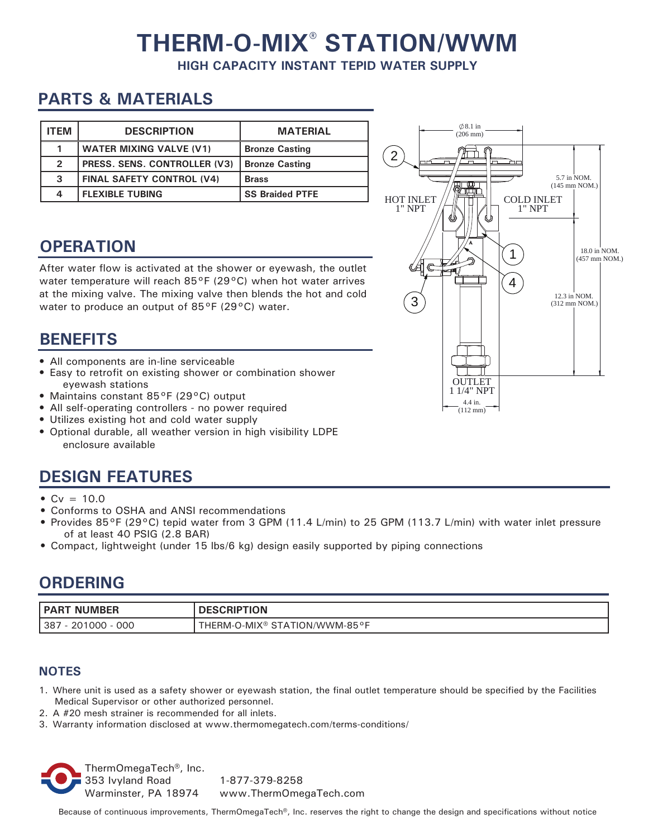# **THERM-O-MIX® STATION/WWM**

**HIGH CAPACITY INSTANT TEPID WATER SUPPLY**

## **PARTS & MATERIALS**

| <b>ITEM</b>    | <b>DESCRIPTION</b>               | <b>MATERIAL</b>        |
|----------------|----------------------------------|------------------------|
|                | <b>WATER MIXING VALVE (V1)</b>   | <b>Bronze Casting</b>  |
| $\overline{2}$ | PRESS. SENS. CONTROLLER (V3)     | <b>Bronze Casting</b>  |
| 3              | <b>FINAL SAFETY CONTROL (V4)</b> | <b>Brass</b>           |
| 4              | <b>FLEXIBLE TUBING</b>           | <b>SS Braided PTFE</b> |

## **OPERATION**

After water flow is activated at the shower or eyewash, the outlet water temperature will reach 85°F (29°C) when hot water arrives at the mixing valve. The mixing valve then blends the hot and cold water to produce an output of 85°F (29°C) water.

### **BENEFITS**

- All components are in-line serviceable
- Easy to retrofit on existing shower or combination shower eyewash stations
- Maintains constant 85°F (29°C) output
- All self-operating controllers no power required
- Utilizes existing hot and cold water supply
- Optional durable, all weather version in high visibility LDPE enclosure available

## **DESIGN FEATURES**

- $Cv = 10.0$
- Conforms to OSHA and ANSI recommendations
- Provides 85°F (29°C) tepid water from 3 GPM (11.4 L/min) to 25 GPM (113.7 L/min) with water inlet pressure of at least 40 PSIG (2.8 BAR)
- Compact, lightweight (under 15 lbs/6 kg) design easily supported by piping connections

### **ORDERING**

| ∣D∧D<br>ΝI<br>IMRFR | <b>ION</b>    |
|---------------------|---------------|
| 000                 | N/WWM-85°F، ا |
| $\circ$             | ∵ ™MIX) - ٽ   |
| ၁ဝ                  | HERM-         |
| $\sim$              | $\sqrt{ }$    |

#### **NOTES**

- 1. Where unit is used as a safety shower or eyewash station, the final outlet temperature should be specified by the Facilities Medical Supervisor or other authorized personnel.
- 2. A #20 mesh strainer is recommended for all inlets.
- 3. Warranty information disclosed at www.thermomegatech.com/terms-conditions/

ThermOmegaTech®, Inc. 353 Ivyland Road 1-877-379-8258 Warminster, PA 18974 www.ThermOmegaTech.com



Because of continuous improvements, ThermOmegaTech®, Inc. reserves the right to change the design and specifications without notice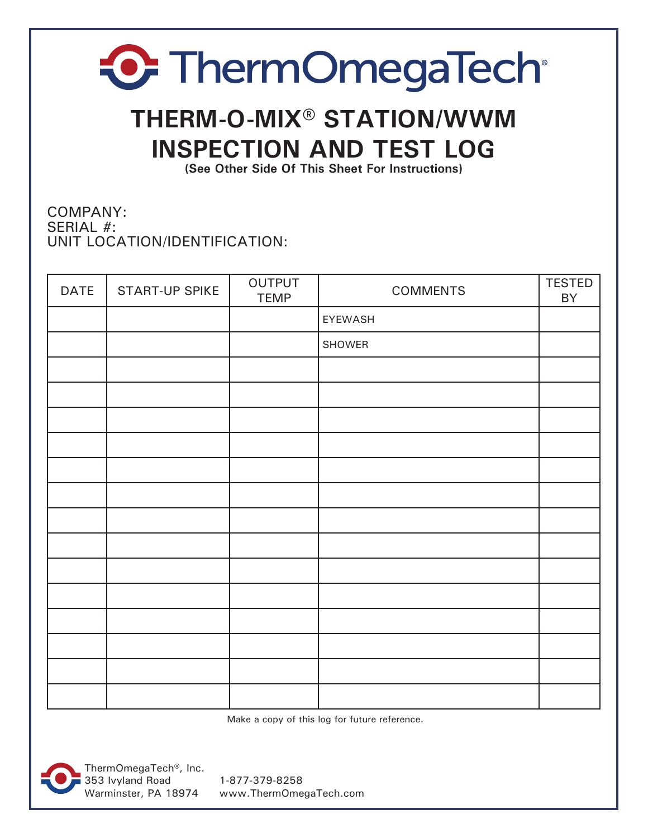# **THERM-O-MIX® STATION/WWM INSPECTION AND TEST LOG**

**(See Other Side Of This Sheet For Instructions)**

COMPANY: SERIAL #: UNIT LOCATION/IDENTIFICATION:

| <b>DATE</b> | START-UP SPIKE | OUTPUT<br><b>TEMP</b> | <b>COMMENTS</b> | <b>TESTED</b><br>BY |
|-------------|----------------|-----------------------|-----------------|---------------------|
|             |                |                       | EYEWASH         |                     |
|             |                |                       | SHOWER          |                     |
|             |                |                       |                 |                     |
|             |                |                       |                 |                     |
|             |                |                       |                 |                     |
|             |                |                       |                 |                     |
|             |                |                       |                 |                     |
|             |                |                       |                 |                     |
|             |                |                       |                 |                     |
|             |                |                       |                 |                     |
|             |                |                       |                 |                     |
|             |                |                       |                 |                     |
|             |                |                       |                 |                     |
|             |                |                       |                 |                     |
|             |                |                       |                 |                     |
|             |                |                       |                 |                     |

Make a copy of this log for future reference.



ThermOmegaTech®, Inc. 353 Ivyland Road 1-877-379-8258

Warminster, PA 18974 www.ThermOmegaTech.com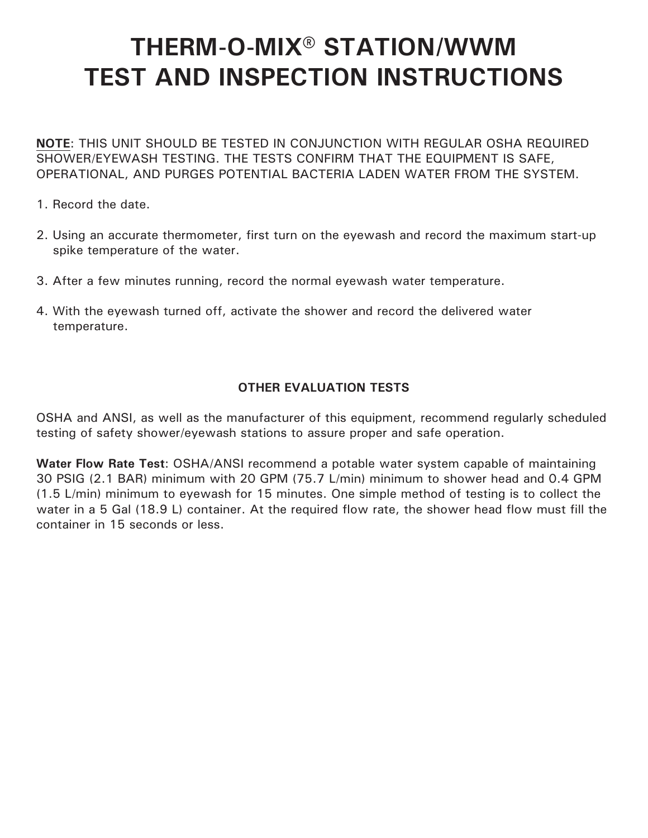# **THERM-O-MIX® STATION/WWM TEST AND INSPECTION INSTRUCTIONS**

**NOTE**: THIS UNIT SHOULD BE TESTED IN CONJUNCTION WITH REGULAR OSHA REQUIRED SHOWER/EYEWASH TESTING. THE TESTS CONFIRM THAT THE EQUIPMENT IS SAFE, OPERATIONAL, AND PURGES POTENTIAL BACTERIA LADEN WATER FROM THE SYSTEM.

- 1. Record the date.
- 2. Using an accurate thermometer, first turn on the eyewash and record the maximum start-up spike temperature of the water.
- 3. After a few minutes running, record the normal eyewash water temperature.
- 4. With the eyewash turned off, activate the shower and record the delivered water temperature.

#### **OTHER EVALUATION TESTS**

OSHA and ANSI, as well as the manufacturer of this equipment, recommend regularly scheduled testing of safety shower/eyewash stations to assure proper and safe operation.

**Water Flow Rate Test**: OSHA/ANSI recommend a potable water system capable of maintaining 30 PSIG (2.1 BAR) minimum with 20 GPM (75.7 L/min) minimum to shower head and 0.4 GPM (1.5 L/min) minimum to eyewash for 15 minutes. One simple method of testing is to collect the water in a 5 Gal (18.9 L) container. At the required flow rate, the shower head flow must fill the container in 15 seconds or less.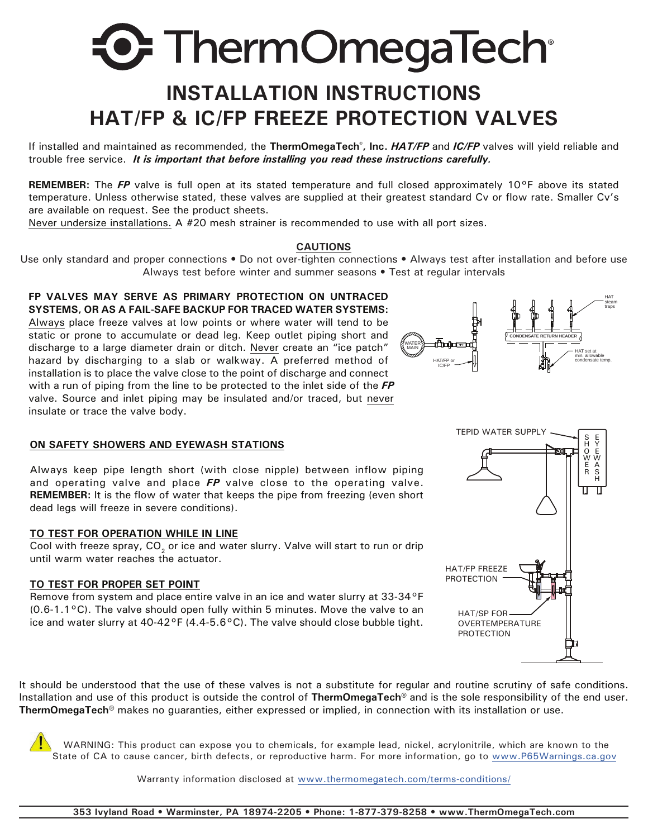# **INSTALLATION INSTRUCTIONS HAT/FP & IC/FP FREEZE PROTECTION VALVES**

If installed and maintained as recommended, the **ThermOmegaTech® , Inc.** *HAT/FP* and *IC/FP* valves will yield reliable and trouble free service. *It is important that before installing you read these instructions carefully.*

**REMEMBER:** The *FP* valve is full open at its stated temperature and full closed approximately 10°F above its stated temperature. Unless otherwise stated, these valves are supplied at their greatest standard Cv or flow rate. Smaller Cv's are available on request. See the product sheets.

Never undersize installations. A #20 mesh strainer is recommended to use with all port sizes.

#### **CAUTIONS**

Use only standard and proper connections • Do not over-tighten connections • Always test after installation and before use Always test before winter and summer seasons • Test at regular intervals

#### **FP VALVES MAY SERVE AS PRIMARY PROTECTION ON UNTRACED SYSTEMS, OR AS A FAIL-SAFE BACKUP FOR TRACED WATER SYSTEMS:**

Always place freeze valves at low points or where water will tend to be static or prone to accumulate or dead leg. Keep outlet piping short and discharge to a large diameter drain or ditch. Never create an "ice patch" hazard by discharging to a slab or walkway. A preferred method of installation is to place the valve close to the point of discharge and connect with a run of piping from the line to be protected to the inlet side of the *FP* valve. Source and inlet piping may be insulated and/or traced, but never insulate or trace the valve body.

#### **ON SAFETY SHOWERS AND EYEWASH STATIONS**

Always keep pipe length short (with close nipple) between inflow piping and operating valve and place *FP* valve close to the operating valve. **REMEMBER:** It is the flow of water that keeps the pipe from freezing (even short dead legs will freeze in severe conditions).

#### **TO TEST FOR OPERATION WHILE IN LINE**

Cool with freeze spray,  $CO<sub>2</sub>$  or ice and water slurry. Valve will start to run or drip until warm water reaches the actuator.

#### **TO TEST FOR PROPER SET POINT**

Remove from system and place entire valve in an ice and water slurry at 33-34°F (0.6-1.1°C). The valve should open fully within 5 minutes. Move the valve to an ice and water slurry at  $40-42^{\circ}F(4.4-5.6^{\circ}C)$ . The valve should close bubble tight.

It should be understood that the use of these valves is not a substitute for regular and routine scrutiny of safe conditions. Installation and use of this product is outside the control of **ThermOmegaTech®** and is the sole responsibility of the end user. **ThermOmegaTech®** makes no guaranties, either expressed or implied, in connection with its installation or use.

 WARNING: This product can expose you to chemicals, for example lead, nickel, acrylonitrile, which are known to the State of CA to cause cancer, birth defects, or reproductive harm. For more information, go to www.P65Warnings.ca.gov

Warranty information disclosed at www.thermomegatech.com/terms-conditions/